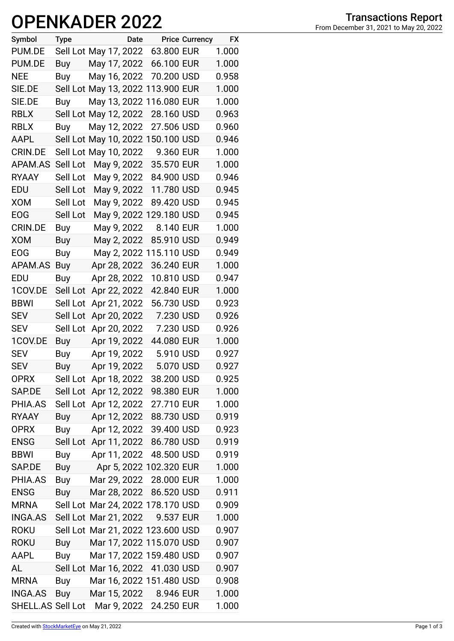## **OPENKADER 2022**

| Symbol            | <b>Type</b> |                       | Date |                                   | <b>Price Currency</b> | <b>FX</b> |
|-------------------|-------------|-----------------------|------|-----------------------------------|-----------------------|-----------|
| PUM.DE            |             | Sell Lot May 17, 2022 |      | 63.800 EUR                        |                       | 1.000     |
| PUM.DE            | Buy         | May 17, 2022          |      | 66.100 EUR                        |                       | 1.000     |
| <b>NEE</b>        | <b>Buy</b>  | May 16, 2022          |      | 70.200 USD                        |                       | 0.958     |
| SIE.DE            |             |                       |      | Sell Lot May 13, 2022 113.900 EUR |                       | 1.000     |
| SIE.DE            | Buy         | May 13, 2022 1        |      | 16.080 EUR                        |                       | 1.000     |
| <b>RBLX</b>       |             | Sell Lot May 12, 2022 |      | 28.160 USD                        |                       | 0.963     |
| <b>RBLX</b>       | Buy         | May 12, 2022          |      | 27.506 USD                        |                       | 0.960     |
| AAPL              |             |                       |      | Sell Lot May 10, 2022 150.100 USD |                       | 0.946     |
| CRIN.DE           |             | Sell Lot May 10, 2022 |      | 9.360 EUR                         |                       | 1.000     |
| APAM.AS           | Sell Lot    | May 9, 2022           |      | 35.570 EUR                        |                       | 1.000     |
| <b>RYAAY</b>      | Sell Lot    | May 9, 2022           |      | 84.900 USD                        |                       | 0.946     |
| EDU               | Sell Lot    | May 9, 2022           |      | 11.780 USD                        |                       | 0.945     |
| <b>XOM</b>        | Sell Lot    | May 9, 2022           |      | 89.420 USD                        |                       | 0.945     |
| <b>EOG</b>        | Sell Lot    |                       |      | May 9, 2022 129.180 USD           |                       | 0.945     |
| CRIN.DE           | Buy         | May 9, 2022           |      | 8.140 EUR                         |                       | 1.000     |
| XOM               | Buy         | May 2, 2022           |      | 85.910 USD                        |                       | 0.949     |
| <b>EOG</b>        | Buy         | May 2, 2022           |      | 15.110 USD                        |                       | 0.949     |
| APAM.AS           | Buy         | Apr 28, 2022          |      | 36.240 EUR                        |                       | 1.000     |
| EDU               | Buy         | Apr 28, 2022          |      | 10.810 USD                        |                       | 0.947     |
| 1COV.DE           | Sell Lot    | Apr 22, 2022          |      | 42.840 EUR                        |                       | 1.000     |
| <b>BBWI</b>       | Sell Lot    | Apr 21, 2022          |      | 56.730 USD                        |                       | 0.923     |
| <b>SEV</b>        | Sell Lot    | Apr 20, 2022          |      | 7.230 USD                         |                       | 0.926     |
| <b>SEV</b>        | Sell Lot    | Apr 20, 2022          |      | 7.230 USD                         |                       | 0.926     |
| 1COV.DE           | Buy         | Apr 19, 2022          |      | 44.080 EUR                        |                       | 1.000     |
| <b>SEV</b>        | Buy         | Apr 19, 2022          |      | 5.910 USD                         |                       | 0.927     |
| <b>SEV</b>        | Buy         | Apr 19, 2022          |      | 5.070 USD                         |                       | 0.927     |
| <b>OPRX</b>       |             | Sell Lot Apr 18, 2022 |      | 38.200 USD                        |                       | 0.925     |
| SAP.DE            | Sell Lot    | Apr 12, 2022          |      | 98.380 EUR                        |                       | 1.000     |
| PHIA.AS           | Sell Lot    | Apr 12, 2022          |      | 27.710 EUR                        |                       | 1.000     |
| <b>RYAAY</b>      | Buy         |                       |      | Apr 12, 2022 88.730 USD           |                       | 0.919     |
| <b>OPRX</b>       | Buy         |                       |      | Apr 12, 2022 39.400 USD           |                       | 0.923     |
| <b>ENSG</b>       |             |                       |      | Sell Lot Apr 11, 2022 86.780 USD  |                       | 0.919     |
| <b>BBWI</b>       | Buy         | Apr 11, 2022          |      | 48.500 USD                        |                       | 0.919     |
| SAP.DE            | Buy         |                       |      | Apr 5, 2022 102.320 EUR           |                       | 1.000     |
| PHIA.AS           | Buy         |                       |      | Mar 29, 2022 28.000 EUR           |                       | 1.000     |
| <b>ENSG</b>       | Buy         | Mar 28, 2022          |      | 86.520 USD                        |                       | 0.911     |
| <b>MRNA</b>       |             |                       |      | Sell Lot Mar 24, 2022 178.170 USD |                       | 0.909     |
| INGA.AS           |             |                       |      | Sell Lot Mar 21, 2022 9.537 EUR   |                       | 1.000     |
| <b>ROKU</b>       |             |                       |      | Sell Lot Mar 21, 2022 123.600 USD |                       | 0.907     |
| <b>ROKU</b>       | Buy         |                       |      | Mar 17, 2022 115.070 USD          |                       | 0.907     |
| <b>AAPL</b>       | Buy         |                       |      | Mar 17, 2022 159.480 USD          |                       | 0.907     |
| AL                |             |                       |      | Sell Lot Mar 16, 2022 41.030 USD  |                       | 0.907     |
| <b>MRNA</b>       | Buy         |                       |      | Mar 16, 2022 151.480 USD          |                       | 0.908     |
| <b>INGA.AS</b>    | Buy         |                       |      | Mar 15, 2022 8.946 EUR            |                       | 1.000     |
| SHELL.AS Sell Lot |             |                       |      | Mar 9, 2022 24.250 EUR            |                       | 1.000     |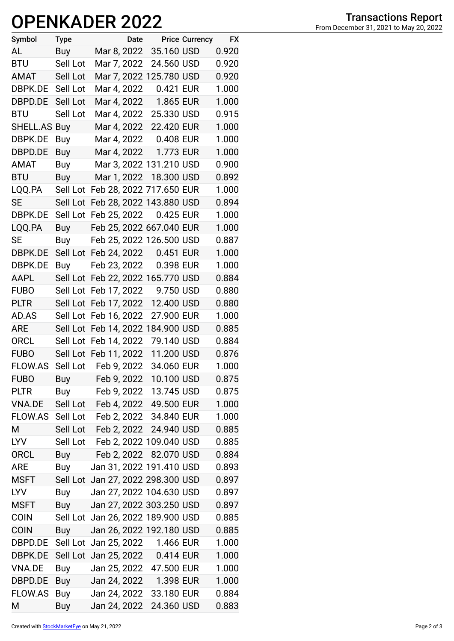## **OPENKADER 2022**

| Symbol              | <b>Type</b> | Date                              |            | <b>Price Currency</b> | <b>FX</b> |
|---------------------|-------------|-----------------------------------|------------|-----------------------|-----------|
| AL                  | Buy         | Mar 8, 2022                       | 35.160 USD |                       | 0.920     |
| <b>BTU</b>          | Sell Lot    | Mar 7, 2022                       | 24.560 USD |                       | 0.920     |
| AMAT                | Sell Lot    | Mar 7, 2022 125.780 USD           |            |                       | 0.920     |
| DBPK.DE             | Sell Lot    | Mar 4, 2022                       | 0.421 EUR  |                       | 1.000     |
| DBPD.DE             | Sell Lot    | Mar 4, 2022                       | 1.865 EUR  |                       | 1.000     |
| <b>BTU</b>          | Sell Lot    | Mar 4, 2022                       | 25.330 USD |                       | 0.915     |
| <b>SHELL.AS Buy</b> |             | Mar 4, 2022                       | 22.420 EUR |                       | 1.000     |
| DBPK.DE             | Buy         | Mar 4, 2022                       | 0.408 EUR  |                       | 1.000     |
| DBPD.DE             | Buy         | Mar 4, 2022                       | 1.773 EUR  |                       | 1.000     |
| <b>AMAT</b>         | Buy         | Mar 3, 2022 131.210 USD           |            |                       | 0.900     |
| <b>BTU</b>          | <b>Buy</b>  | Mar 1, 2022 18.300 USD            |            |                       | 0.892     |
| LQQ.PA              | Sell Lot    | Feb 28, 2022 717.650 EUR          |            |                       | 1.000     |
| <b>SE</b>           | Sell Lot    | Feb 28, 2022 143.880 USD          |            |                       | 0.894     |
| DBPK.DE             | Sell Lot    | Feb 25, 2022                      | 0.425 EUR  |                       | 1.000     |
| LQQ.PA              | <b>Buy</b>  | Feb 25, 2022 667.040 EUR          |            |                       | 1.000     |
| SE                  | Buy         | Feb 25, 2022 126.500 USD          |            |                       | 0.887     |
| DBPK.DE             | Sell Lot    | Feb 24, 2022                      | 0.451 EUR  |                       | 1.000     |
| DBPK.DE             | Buy         | Feb 23, 2022                      | 0.398 EUR  |                       | 1.000     |
| AAPL                | Sell Lot    | Feb 22, 2022 165.770 USD          |            |                       | 0.884     |
| <b>FUBO</b>         | Sell Lot    | Feb 17, 2022                      | 9.750 USD  |                       | 0.880     |
| <b>PLTR</b>         | Sell Lot    | Feb 17, 2022                      | 12.400 USD |                       | 0.880     |
| AD.AS               | Sell Lot    | Feb 16, 2022                      | 27.900 EUR |                       | 1.000     |
| <b>ARE</b>          |             | Sell Lot Feb 14, 2022 184.900 USD |            |                       | 0.885     |
| <b>ORCL</b>         | Sell Lot    | Feb 14, 2022                      | 79.140 USD |                       | 0.884     |
| <b>FUBO</b>         |             | Sell Lot Feb 11, 2022             | 11.200 USD |                       | 0.876     |
| <b>FLOW.AS</b>      |             | Sell Lot Feb 9, 2022              | 34.060 EUR |                       | 1.000     |
| <b>FUBO</b>         | Buy         | Feb 9, 2022                       | 10.100 USD |                       | 0.875     |
| <b>PLTR</b>         | Buy         | Feb 9, 2022 13.745 USD            |            |                       | 0.875     |
| <b>VNA.DE</b>       | Sell Lot    | Feb 4, 2022 49.500 EUR            |            |                       | 1.000     |
| FLOW.AS Sell Lot    |             | Feb 2, 2022 34.840 EUR            |            |                       | 1.000     |
| M                   | Sell Lot    | Feb 2, 2022 24.940 USD            |            |                       | 0.885     |
| <b>LYV</b>          | Sell Lot    | Feb 2, 2022 109.040 USD           |            |                       | 0.885     |
| <b>ORCL</b>         | Buy         | Feb 2, 2022 82.070 USD            |            |                       | 0.884     |
| <b>ARE</b>          | Buy         | Jan 31, 2022 191.410 USD          |            |                       | 0.893     |
| <b>MSFT</b>         |             | Sell Lot Jan 27, 2022 298.300 USD |            |                       | 0.897     |
| <b>LYV</b>          | Buy         | Jan 27, 2022 104.630 USD          |            |                       | 0.897     |
| <b>MSFT</b>         | Buy         | Jan 27, 2022 303.250 USD          |            |                       | 0.897     |
| <b>COIN</b>         |             | Sell Lot Jan 26, 2022 189.900 USD |            |                       | 0.885     |
| <b>COIN</b>         | Buy         | Jan 26, 2022 192.180 USD          |            |                       | 0.885     |
| DBPD.DE             |             | Sell Lot Jan 25, 2022 1.466 EUR   |            |                       | 1.000     |
| DBPK.DE             |             | Sell Lot Jan 25, 2022 0.414 EUR   |            |                       | 1.000     |
| VNA.DE              | Buy         | Jan 25, 2022                      | 47.500 EUR |                       | 1.000     |
| DBPD.DE             | Buy         | Jan 24, 2022                      | 1.398 EUR  |                       | 1.000     |
| <b>FLOW.AS</b>      | Buy         | Jan 24, 2022                      | 33.180 EUR |                       | 0.884     |
| M                   | Buy         | Jan 24, 2022                      | 24.360 USD |                       | 0.883     |